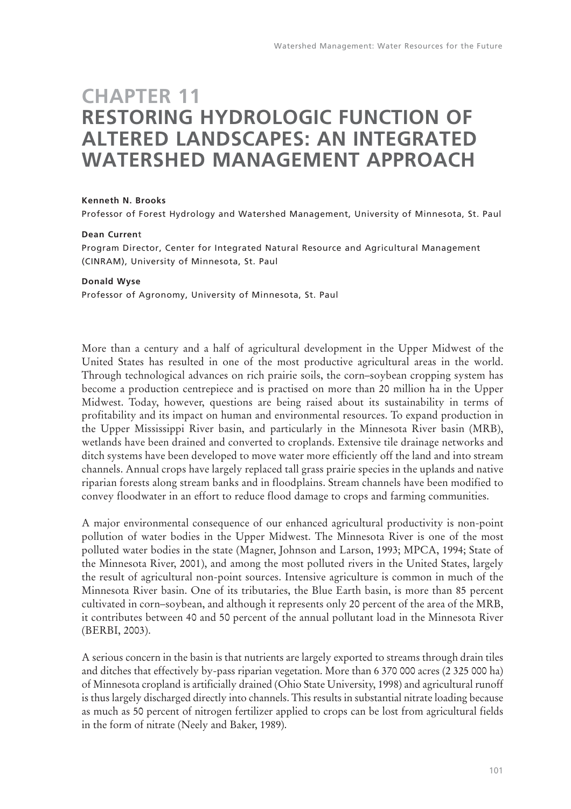# **CHAPTER 11 RESTORING HYDROLOGIC FUNCTION OF ALTERED LANDSCAPES: AN INTEGRATED WATERSHED MANAGEMENT APPROACH**

#### **Kenneth N. Brooks**

Professor of Forest Hydrology and Watershed Management, University of Minnesota, St. Paul

#### **Dean Curren**t

Program Director, Center for Integrated Natural Resource and Agricultural Management (CINRAM), University of Minnesota, St. Paul

#### **Donald Wyse**

Professor of Agronomy, University of Minnesota, St. Paul

More than a century and a half of agricultural development in the Upper Midwest of the United States has resulted in one of the most productive agricultural areas in the world. Through technological advances on rich prairie soils, the corn–soybean cropping system has become a production centrepiece and is practised on more than 20 million ha in the Upper Midwest. Today, however, questions are being raised about its sustainability in terms of profitability and its impact on human and environmental resources. To expand production in the Upper Mississippi River basin, and particularly in the Minnesota River basin (MRB), wetlands have been drained and converted to croplands. Extensive tile drainage networks and ditch systems have been developed to move water more efficiently off the land and into stream channels. Annual crops have largely replaced tall grass prairie species in the uplands and native riparian forests along stream banks and in floodplains. Stream channels have been modified to convey floodwater in an effort to reduce flood damage to crops and farming communities.

A major environmental consequence of our enhanced agricultural productivity is non-point pollution of water bodies in the Upper Midwest. The Minnesota River is one of the most polluted water bodies in the state (Magner, Johnson and Larson, 1993; MPCA, 1994; State of the Minnesota River, 2001), and among the most polluted rivers in the United States, largely the result of agricultural non-point sources. Intensive agriculture is common in much of the Minnesota River basin. One of its tributaries, the Blue Earth basin, is more than 85 percent cultivated in corn–soybean, and although it represents only 20 percent of the area of the MRB, it contributes between 40 and 50 percent of the annual pollutant load in the Minnesota River (BERBI, 2003).

A serious concern in the basin is that nutrients are largely exported to streams through drain tiles and ditches that effectively by-pass riparian vegetation. More than 6 370 000 acres (2 325 000 ha) of Minnesota cropland is artificially drained (Ohio State University, 1998) and agricultural runoff is thus largely discharged directly into channels. This results in substantial nitrate loading because as much as 50 percent of nitrogen fertilizer applied to crops can be lost from agricultural fields in the form of nitrate (Neely and Baker, 1989).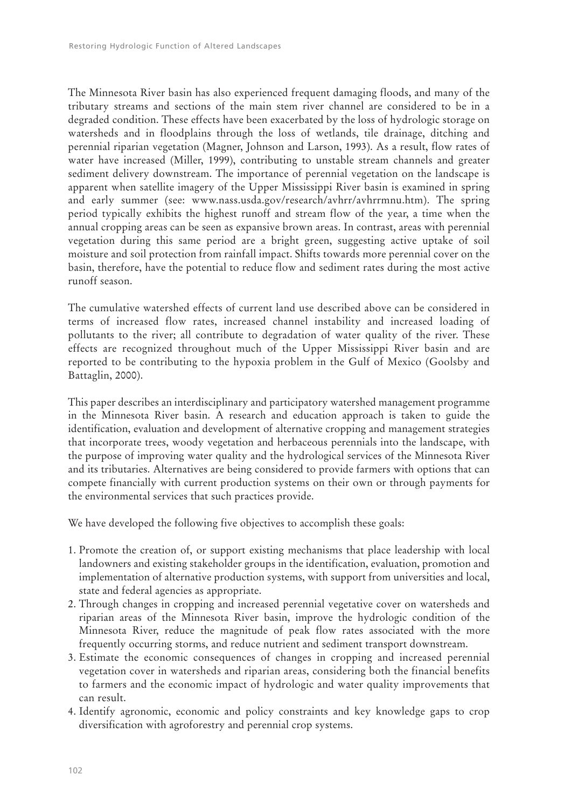The Minnesota River basin has also experienced frequent damaging floods, and many of the tributary streams and sections of the main stem river channel are considered to be in a degraded condition. These effects have been exacerbated by the loss of hydrologic storage on watersheds and in floodplains through the loss of wetlands, tile drainage, ditching and perennial riparian vegetation (Magner, Johnson and Larson, 1993). As a result, flow rates of water have increased (Miller, 1999), contributing to unstable stream channels and greater sediment delivery downstream. The importance of perennial vegetation on the landscape is apparent when satellite imagery of the Upper Mississippi River basin is examined in spring and early summer (see: www.nass.usda.gov/research/avhrr/avhrrmnu.htm). The spring period typically exhibits the highest runoff and stream flow of the year, a time when the annual cropping areas can be seen as expansive brown areas. In contrast, areas with perennial vegetation during this same period are a bright green, suggesting active uptake of soil moisture and soil protection from rainfall impact. Shifts towards more perennial cover on the basin, therefore, have the potential to reduce flow and sediment rates during the most active runoff season.

The cumulative watershed effects of current land use described above can be considered in terms of increased flow rates, increased channel instability and increased loading of pollutants to the river; all contribute to degradation of water quality of the river. These effects are recognized throughout much of the Upper Mississippi River basin and are reported to be contributing to the hypoxia problem in the Gulf of Mexico (Goolsby and Battaglin, 2000).

This paper describes an interdisciplinary and participatory watershed management programme in the Minnesota River basin. A research and education approach is taken to guide the identification, evaluation and development of alternative cropping and management strategies that incorporate trees, woody vegetation and herbaceous perennials into the landscape, with the purpose of improving water quality and the hydrological services of the Minnesota River and its tributaries. Alternatives are being considered to provide farmers with options that can compete financially with current production systems on their own or through payments for the environmental services that such practices provide.

We have developed the following five objectives to accomplish these goals:

- 1. Promote the creation of, or support existing mechanisms that place leadership with local landowners and existing stakeholder groups in the identification, evaluation, promotion and implementation of alternative production systems, with support from universities and local, state and federal agencies as appropriate.
- 2. Through changes in cropping and increased perennial vegetative cover on watersheds and riparian areas of the Minnesota River basin, improve the hydrologic condition of the Minnesota River, reduce the magnitude of peak flow rates associated with the more frequently occurring storms, and reduce nutrient and sediment transport downstream.
- 3. Estimate the economic consequences of changes in cropping and increased perennial vegetation cover in watersheds and riparian areas, considering both the financial benefits to farmers and the economic impact of hydrologic and water quality improvements that can result.
- 4. Identify agronomic, economic and policy constraints and key knowledge gaps to crop diversification with agroforestry and perennial crop systems.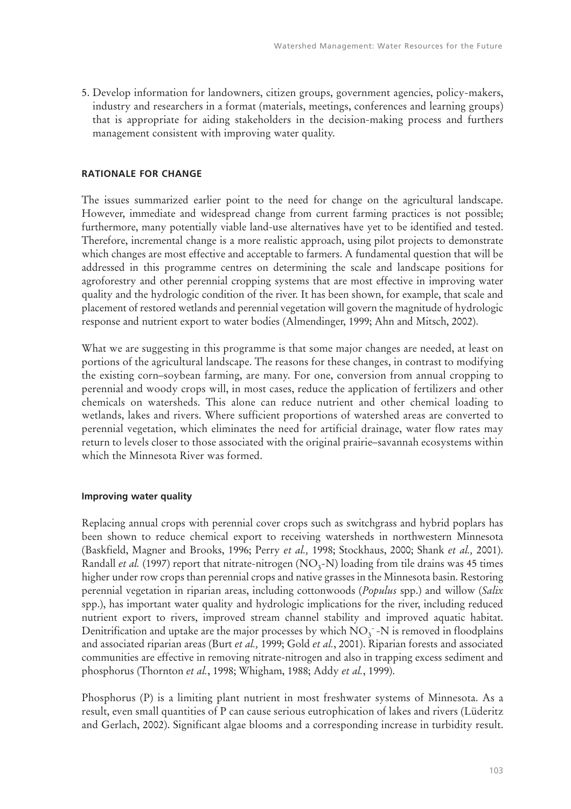5. Develop information for landowners, citizen groups, government agencies, policy-makers, industry and researchers in a format (materials, meetings, conferences and learning groups) that is appropriate for aiding stakeholders in the decision-making process and furthers management consistent with improving water quality.

### **RATIONALE FOR CHANGE**

The issues summarized earlier point to the need for change on the agricultural landscape. However, immediate and widespread change from current farming practices is not possible; furthermore, many potentially viable land-use alternatives have yet to be identified and tested. Therefore, incremental change is a more realistic approach, using pilot projects to demonstrate which changes are most effective and acceptable to farmers. A fundamental question that will be addressed in this programme centres on determining the scale and landscape positions for agroforestry and other perennial cropping systems that are most effective in improving water quality and the hydrologic condition of the river. It has been shown, for example, that scale and placement of restored wetlands and perennial vegetation will govern the magnitude of hydrologic response and nutrient export to water bodies (Almendinger, 1999; Ahn and Mitsch, 2002).

What we are suggesting in this programme is that some major changes are needed, at least on portions of the agricultural landscape. The reasons for these changes, in contrast to modifying the existing corn–soybean farming, are many. For one, conversion from annual cropping to perennial and woody crops will, in most cases, reduce the application of fertilizers and other chemicals on watersheds. This alone can reduce nutrient and other chemical loading to wetlands, lakes and rivers. Where sufficient proportions of watershed areas are converted to perennial vegetation, which eliminates the need for artificial drainage, water flow rates may return to levels closer to those associated with the original prairie–savannah ecosystems within which the Minnesota River was formed.

#### **Improving water quality**

Replacing annual crops with perennial cover crops such as switchgrass and hybrid poplars has been shown to reduce chemical export to receiving watersheds in northwestern Minnesota (Baskfield, Magner and Brooks, 1996; Perry *et al.,* 1998; Stockhaus, 2000; Shank *et al.,* 2001). Randall *et al.* (1997) report that nitrate-nitrogen (NO<sub>3</sub>-N) loading from tile drains was 45 times higher under row crops than perennial crops and native grasses in the Minnesota basin. Restoring perennial vegetation in riparian areas, including cottonwoods (*Populus* spp.) and willow (*Salix* spp.), has important water quality and hydrologic implications for the river, including reduced nutrient export to rivers, improved stream channel stability and improved aquatic habitat. Denitrification and uptake are the major processes by which  $\rm NO_3^-$  -N is removed in floodplains and associated riparian areas (Burt *et al.,* 1999; Gold *et al.*, 2001). Riparian forests and associated communities are effective in removing nitrate-nitrogen and also in trapping excess sediment and phosphorus (Thornton *et al.*, 1998; Whigham, 1988; Addy *et al.*, 1999).

Phosphorus (P) is a limiting plant nutrient in most freshwater systems of Minnesota. As a result, even small quantities of P can cause serious eutrophication of lakes and rivers (Lüderitz and Gerlach, 2002). Significant algae blooms and a corresponding increase in turbidity result.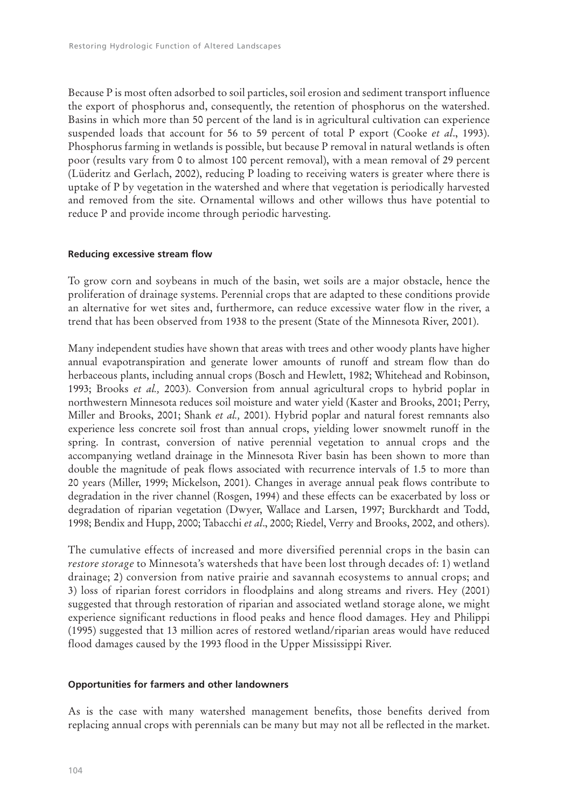Because P is most often adsorbed to soil particles, soil erosion and sediment transport influence the export of phosphorus and, consequently, the retention of phosphorus on the watershed. Basins in which more than 50 percent of the land is in agricultural cultivation can experience suspended loads that account for 56 to 59 percent of total P export (Cooke *et al*., 1993). Phosphorus farming in wetlands is possible, but because P removal in natural wetlands is often poor (results vary from 0 to almost 100 percent removal), with a mean removal of 29 percent (Lüderitz and Gerlach, 2002), reducing P loading to receiving waters is greater where there is uptake of P by vegetation in the watershed and where that vegetation is periodically harvested and removed from the site. Ornamental willows and other willows thus have potential to reduce P and provide income through periodic harvesting.

## **Reducing excessive stream flow**

To grow corn and soybeans in much of the basin, wet soils are a major obstacle, hence the proliferation of drainage systems. Perennial crops that are adapted to these conditions provide an alternative for wet sites and, furthermore, can reduce excessive water flow in the river, a trend that has been observed from 1938 to the present (State of the Minnesota River, 2001).

Many independent studies have shown that areas with trees and other woody plants have higher annual evapotranspiration and generate lower amounts of runoff and stream flow than do herbaceous plants, including annual crops (Bosch and Hewlett, 1982; Whitehead and Robinson, 1993; Brooks *et al.,* 2003). Conversion from annual agricultural crops to hybrid poplar in northwestern Minnesota reduces soil moisture and water yield (Kaster and Brooks, 2001; Perry, Miller and Brooks, 2001; Shank *et al.,* 2001). Hybrid poplar and natural forest remnants also experience less concrete soil frost than annual crops, yielding lower snowmelt runoff in the spring. In contrast, conversion of native perennial vegetation to annual crops and the accompanying wetland drainage in the Minnesota River basin has been shown to more than double the magnitude of peak flows associated with recurrence intervals of 1.5 to more than 20 years (Miller, 1999; Mickelson, 2001). Changes in average annual peak flows contribute to degradation in the river channel (Rosgen, 1994) and these effects can be exacerbated by loss or degradation of riparian vegetation (Dwyer, Wallace and Larsen, 1997; Burckhardt and Todd, 1998; Bendix and Hupp, 2000; Tabacchi *et al*., 2000; Riedel, Verry and Brooks, 2002, and others).

The cumulative effects of increased and more diversified perennial crops in the basin can *restore storage* to Minnesota's watersheds that have been lost through decades of: 1) wetland drainage; 2) conversion from native prairie and savannah ecosystems to annual crops; and 3) loss of riparian forest corridors in floodplains and along streams and rivers. Hey (2001) suggested that through restoration of riparian and associated wetland storage alone, we might experience significant reductions in flood peaks and hence flood damages. Hey and Philippi (1995) suggested that 13 million acres of restored wetland/riparian areas would have reduced flood damages caused by the 1993 flood in the Upper Mississippi River.

## **Opportunities for farmers and other landowners**

As is the case with many watershed management benefits, those benefits derived from replacing annual crops with perennials can be many but may not all be reflected in the market.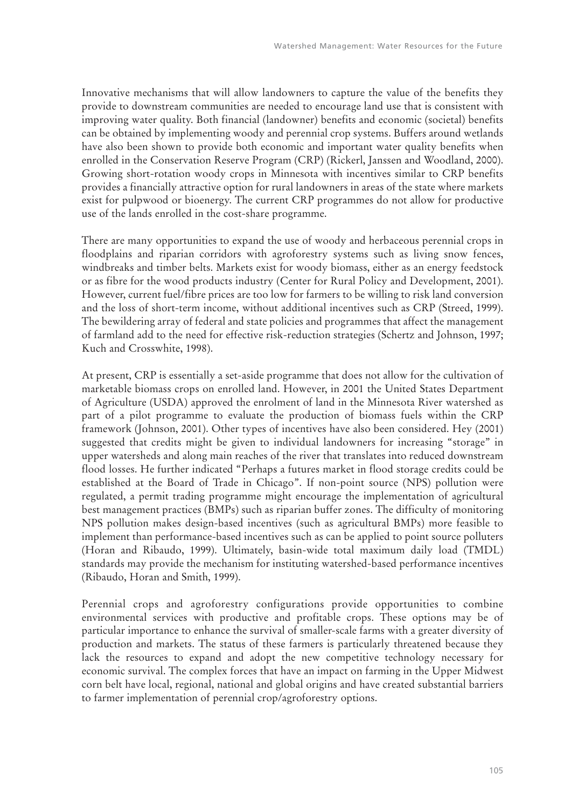Innovative mechanisms that will allow landowners to capture the value of the benefits they provide to downstream communities are needed to encourage land use that is consistent with improving water quality. Both financial (landowner) benefits and economic (societal) benefits can be obtained by implementing woody and perennial crop systems. Buffers around wetlands have also been shown to provide both economic and important water quality benefits when enrolled in the Conservation Reserve Program (CRP) (Rickerl, Janssen and Woodland, 2000). Growing short-rotation woody crops in Minnesota with incentives similar to CRP benefits provides a financially attractive option for rural landowners in areas of the state where markets exist for pulpwood or bioenergy. The current CRP programmes do not allow for productive use of the lands enrolled in the cost-share programme.

There are many opportunities to expand the use of woody and herbaceous perennial crops in floodplains and riparian corridors with agroforestry systems such as living snow fences, windbreaks and timber belts. Markets exist for woody biomass, either as an energy feedstock or as fibre for the wood products industry (Center for Rural Policy and Development, 2001). However, current fuel/fibre prices are too low for farmers to be willing to risk land conversion and the loss of short-term income, without additional incentives such as CRP (Streed, 1999). The bewildering array of federal and state policies and programmes that affect the management of farmland add to the need for effective risk-reduction strategies (Schertz and Johnson, 1997; Kuch and Crosswhite, 1998).

At present, CRP is essentially a set-aside programme that does not allow for the cultivation of marketable biomass crops on enrolled land. However, in 2001 the United States Department of Agriculture (USDA) approved the enrolment of land in the Minnesota River watershed as part of a pilot programme to evaluate the production of biomass fuels within the CRP framework (Johnson, 2001). Other types of incentives have also been considered. Hey (2001) suggested that credits might be given to individual landowners for increasing "storage" in upper watersheds and along main reaches of the river that translates into reduced downstream flood losses. He further indicated "Perhaps a futures market in flood storage credits could be established at the Board of Trade in Chicago". If non-point source (NPS) pollution were regulated, a permit trading programme might encourage the implementation of agricultural best management practices (BMPs) such as riparian buffer zones. The difficulty of monitoring NPS pollution makes design-based incentives (such as agricultural BMPs) more feasible to implement than performance-based incentives such as can be applied to point source polluters (Horan and Ribaudo, 1999). Ultimately, basin-wide total maximum daily load (TMDL) standards may provide the mechanism for instituting watershed-based performance incentives (Ribaudo, Horan and Smith, 1999).

Perennial crops and agroforestry configurations provide opportunities to combine environmental services with productive and profitable crops. These options may be of particular importance to enhance the survival of smaller-scale farms with a greater diversity of production and markets. The status of these farmers is particularly threatened because they lack the resources to expand and adopt the new competitive technology necessary for economic survival. The complex forces that have an impact on farming in the Upper Midwest corn belt have local, regional, national and global origins and have created substantial barriers to farmer implementation of perennial crop/agroforestry options.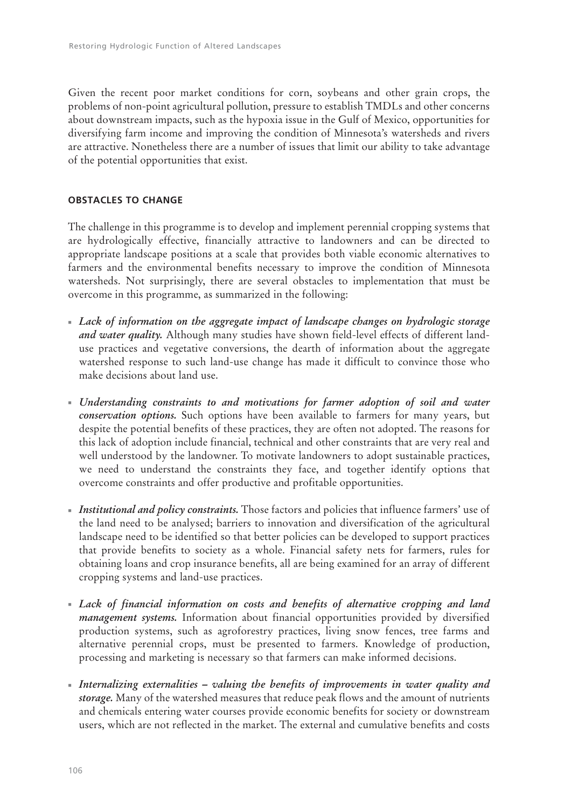Given the recent poor market conditions for corn, soybeans and other grain crops, the problems of non-point agricultural pollution, pressure to establish TMDLs and other concerns about downstream impacts, such as the hypoxia issue in the Gulf of Mexico, opportunities for diversifying farm income and improving the condition of Minnesota's watersheds and rivers are attractive. Nonetheless there are a number of issues that limit our ability to take advantage of the potential opportunities that exist.

# **OBSTACLES TO CHANGE**

The challenge in this programme is to develop and implement perennial cropping systems that are hydrologically effective, financially attractive to landowners and can be directed to appropriate landscape positions at a scale that provides both viable economic alternatives to farmers and the environmental benefits necessary to improve the condition of Minnesota watersheds. Not surprisingly, there are several obstacles to implementation that must be overcome in this programme, as summarized in the following:

- *Lack of information on the aggregate impact of landscape changes on hydrologic storage and water quality.* Although many studies have shown field-level effects of different landuse practices and vegetative conversions, the dearth of information about the aggregate watershed response to such land-use change has made it difficult to convince those who make decisions about land use.
- *Understanding constraints to and motivations for farmer adoption of soil and water conservation options.* Such options have been available to farmers for many years, but despite the potential benefits of these practices, they are often not adopted. The reasons for this lack of adoption include financial, technical and other constraints that are very real and well understood by the landowner. To motivate landowners to adopt sustainable practices, we need to understand the constraints they face, and together identify options that overcome constraints and offer productive and profitable opportunities.
- *Institutional and policy constraints.* Those factors and policies that influence farmers' use of the land need to be analysed; barriers to innovation and diversification of the agricultural landscape need to be identified so that better policies can be developed to support practices that provide benefits to society as a whole. Financial safety nets for farmers, rules for obtaining loans and crop insurance benefits, all are being examined for an array of different cropping systems and land-use practices.
- *Lack of financial information on costs and benefits of alternative cropping and land management systems.* Information about financial opportunities provided by diversified production systems, such as agroforestry practices, living snow fences, tree farms and alternative perennial crops, must be presented to farmers. Knowledge of production, processing and marketing is necessary so that farmers can make informed decisions.
- *Internalizing externalities valuing the benefits of improvements in water quality and storage.* Many of the watershed measures that reduce peak flows and the amount of nutrients and chemicals entering water courses provide economic benefits for society or downstream users, which are not reflected in the market. The external and cumulative benefits and costs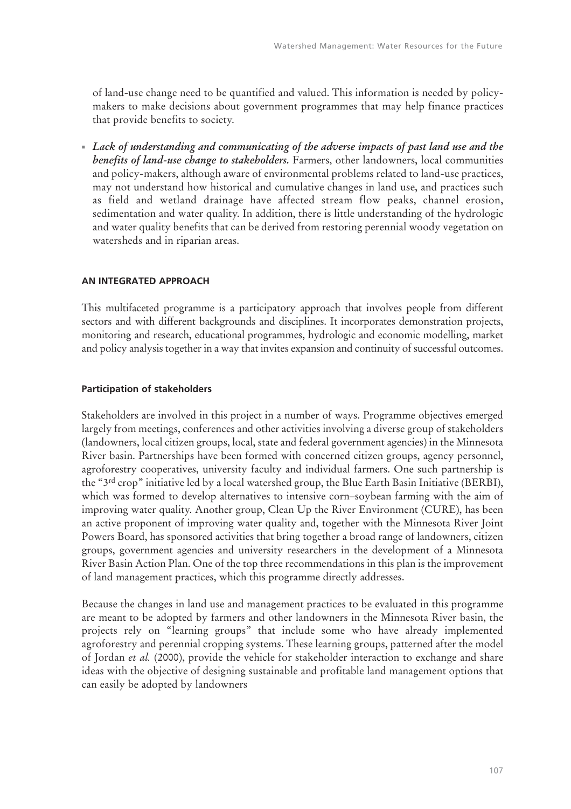of land-use change need to be quantified and valued. This information is needed by policymakers to make decisions about government programmes that may help finance practices that provide benefits to society.

- *Lack of understanding and communicating of the adverse impacts of past land use and the benefits of land-use change to stakeholders.* Farmers, other landowners, local communities and policy-makers, although aware of environmental problems related to land-use practices, may not understand how historical and cumulative changes in land use, and practices such as field and wetland drainage have affected stream flow peaks, channel erosion, sedimentation and water quality. In addition, there is little understanding of the hydrologic and water quality benefits that can be derived from restoring perennial woody vegetation on watersheds and in riparian areas.

## **AN INTEGRATED APPROACH**

This multifaceted programme is a participatory approach that involves people from different sectors and with different backgrounds and disciplines. It incorporates demonstration projects, monitoring and research, educational programmes, hydrologic and economic modelling, market and policy analysis together in a way that invites expansion and continuity of successful outcomes.

## **Participation of stakeholders**

Stakeholders are involved in this project in a number of ways. Programme objectives emerged largely from meetings, conferences and other activities involving a diverse group of stakeholders (landowners, local citizen groups, local, state and federal government agencies) in the Minnesota River basin. Partnerships have been formed with concerned citizen groups, agency personnel, agroforestry cooperatives, university faculty and individual farmers. One such partnership is the "3<sup>rd</sup> crop" initiative led by a local watershed group, the Blue Earth Basin Initiative (BERBI), which was formed to develop alternatives to intensive corn–soybean farming with the aim of improving water quality. Another group, Clean Up the River Environment (CURE), has been an active proponent of improving water quality and, together with the Minnesota River Joint Powers Board, has sponsored activities that bring together a broad range of landowners, citizen groups, government agencies and university researchers in the development of a Minnesota River Basin Action Plan. One of the top three recommendations in this plan is the improvement of land management practices, which this programme directly addresses.

Because the changes in land use and management practices to be evaluated in this programme are meant to be adopted by farmers and other landowners in the Minnesota River basin, the projects rely on "learning groups" that include some who have already implemented agroforestry and perennial cropping systems. These learning groups, patterned after the model of Jordan *et al.* (2000), provide the vehicle for stakeholder interaction to exchange and share ideas with the objective of designing sustainable and profitable land management options that can easily be adopted by landowners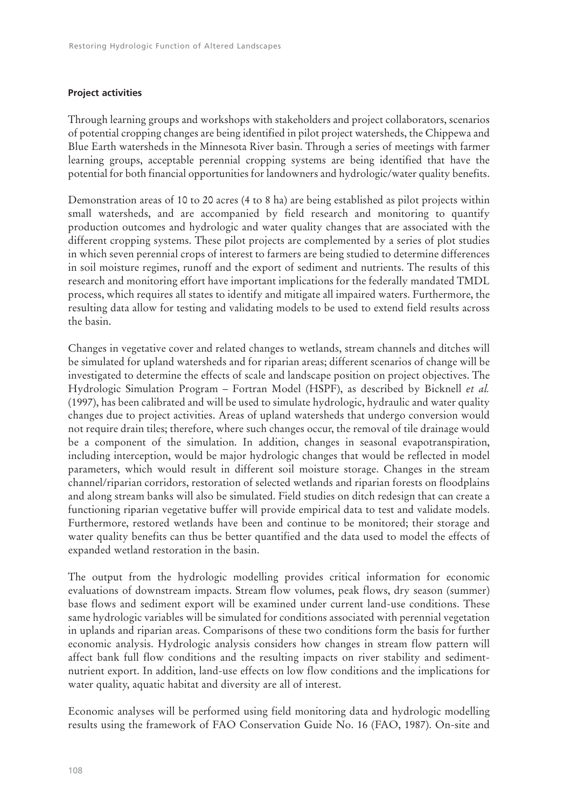# **Project activities**

Through learning groups and workshops with stakeholders and project collaborators, scenarios of potential cropping changes are being identified in pilot project watersheds, the Chippewa and Blue Earth watersheds in the Minnesota River basin. Through a series of meetings with farmer learning groups, acceptable perennial cropping systems are being identified that have the potential for both financial opportunities for landowners and hydrologic/water quality benefits.

Demonstration areas of 10 to 20 acres (4 to 8 ha) are being established as pilot projects within small watersheds, and are accompanied by field research and monitoring to quantify production outcomes and hydrologic and water quality changes that are associated with the different cropping systems. These pilot projects are complemented by a series of plot studies in which seven perennial crops of interest to farmers are being studied to determine differences in soil moisture regimes, runoff and the export of sediment and nutrients. The results of this research and monitoring effort have important implications for the federally mandated TMDL process, which requires all states to identify and mitigate all impaired waters. Furthermore, the resulting data allow for testing and validating models to be used to extend field results across the basin.

Changes in vegetative cover and related changes to wetlands, stream channels and ditches will be simulated for upland watersheds and for riparian areas; different scenarios of change will be investigated to determine the effects of scale and landscape position on project objectives. The Hydrologic Simulation Program – Fortran Model (HSPF), as described by Bicknell *et al.* (1997), has been calibrated and will be used to simulate hydrologic, hydraulic and water quality changes due to project activities. Areas of upland watersheds that undergo conversion would not require drain tiles; therefore, where such changes occur, the removal of tile drainage would be a component of the simulation. In addition, changes in seasonal evapotranspiration, including interception, would be major hydrologic changes that would be reflected in model parameters, which would result in different soil moisture storage. Changes in the stream channel/riparian corridors, restoration of selected wetlands and riparian forests on floodplains and along stream banks will also be simulated. Field studies on ditch redesign that can create a functioning riparian vegetative buffer will provide empirical data to test and validate models. Furthermore, restored wetlands have been and continue to be monitored; their storage and water quality benefits can thus be better quantified and the data used to model the effects of expanded wetland restoration in the basin.

The output from the hydrologic modelling provides critical information for economic evaluations of downstream impacts. Stream flow volumes, peak flows, dry season (summer) base flows and sediment export will be examined under current land-use conditions. These same hydrologic variables will be simulated for conditions associated with perennial vegetation in uplands and riparian areas. Comparisons of these two conditions form the basis for further economic analysis. Hydrologic analysis considers how changes in stream flow pattern will affect bank full flow conditions and the resulting impacts on river stability and sedimentnutrient export. In addition, land-use effects on low flow conditions and the implications for water quality, aquatic habitat and diversity are all of interest.

Economic analyses will be performed using field monitoring data and hydrologic modelling results using the framework of FAO Conservation Guide No. 16 (FAO, 1987). On-site and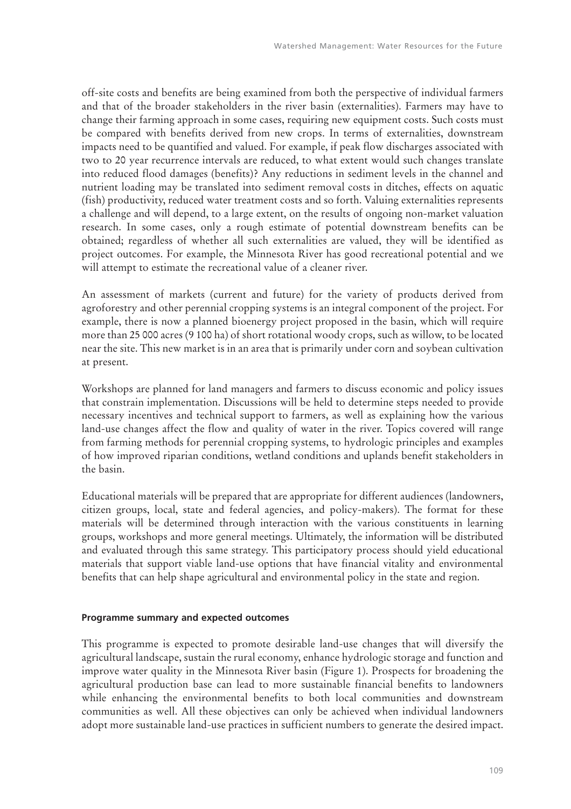off-site costs and benefits are being examined from both the perspective of individual farmers and that of the broader stakeholders in the river basin (externalities). Farmers may have to change their farming approach in some cases, requiring new equipment costs. Such costs must be compared with benefits derived from new crops. In terms of externalities, downstream impacts need to be quantified and valued. For example, if peak flow discharges associated with two to 20 year recurrence intervals are reduced, to what extent would such changes translate into reduced flood damages (benefits)? Any reductions in sediment levels in the channel and nutrient loading may be translated into sediment removal costs in ditches, effects on aquatic (fish) productivity, reduced water treatment costs and so forth. Valuing externalities represents a challenge and will depend, to a large extent, on the results of ongoing non-market valuation research. In some cases, only a rough estimate of potential downstream benefits can be obtained; regardless of whether all such externalities are valued, they will be identified as project outcomes. For example, the Minnesota River has good recreational potential and we will attempt to estimate the recreational value of a cleaner river.

An assessment of markets (current and future) for the variety of products derived from agroforestry and other perennial cropping systems is an integral component of the project. For example, there is now a planned bioenergy project proposed in the basin, which will require more than 25 000 acres (9 100 ha) of short rotational woody crops, such as willow, to be located near the site. This new market is in an area that is primarily under corn and soybean cultivation at present.

Workshops are planned for land managers and farmers to discuss economic and policy issues that constrain implementation. Discussions will be held to determine steps needed to provide necessary incentives and technical support to farmers, as well as explaining how the various land-use changes affect the flow and quality of water in the river. Topics covered will range from farming methods for perennial cropping systems, to hydrologic principles and examples of how improved riparian conditions, wetland conditions and uplands benefit stakeholders in the basin.

Educational materials will be prepared that are appropriate for different audiences (landowners, citizen groups, local, state and federal agencies, and policy-makers). The format for these materials will be determined through interaction with the various constituents in learning groups, workshops and more general meetings. Ultimately, the information will be distributed and evaluated through this same strategy. This participatory process should yield educational materials that support viable land-use options that have financial vitality and environmental benefits that can help shape agricultural and environmental policy in the state and region.

## **Programme summary and expected outcomes**

This programme is expected to promote desirable land-use changes that will diversify the agricultural landscape, sustain the rural economy, enhance hydrologic storage and function and improve water quality in the Minnesota River basin (Figure 1). Prospects for broadening the agricultural production base can lead to more sustainable financial benefits to landowners while enhancing the environmental benefits to both local communities and downstream communities as well. All these objectives can only be achieved when individual landowners adopt more sustainable land-use practices in sufficient numbers to generate the desired impact.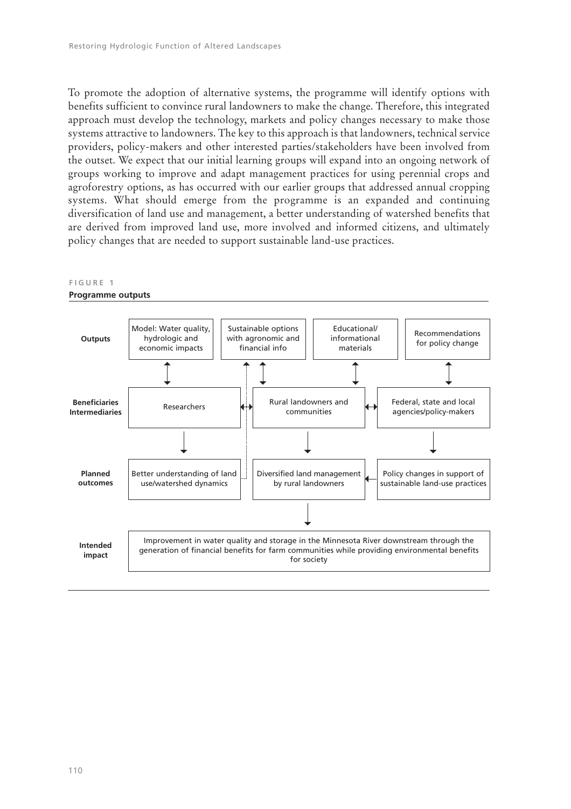To promote the adoption of alternative systems, the programme will identify options with benefits sufficient to convince rural landowners to make the change. Therefore, this integrated approach must develop the technology, markets and policy changes necessary to make those systems attractive to landowners. The key to this approach is that landowners, technical service providers, policy-makers and other interested parties/stakeholders have been involved from the outset. We expect that our initial learning groups will expand into an ongoing network of groups working to improve and adapt management practices for using perennial crops and agroforestry options, as has occurred with our earlier groups that addressed annual cropping systems. What should emerge from the programme is an expanded and continuing diversification of land use and management, a better understanding of watershed benefits that are derived from improved land use, more involved and informed citizens, and ultimately policy changes that are needed to support sustainable land-use practices.

#### **FIGURE 1**

#### **Programme outputs**

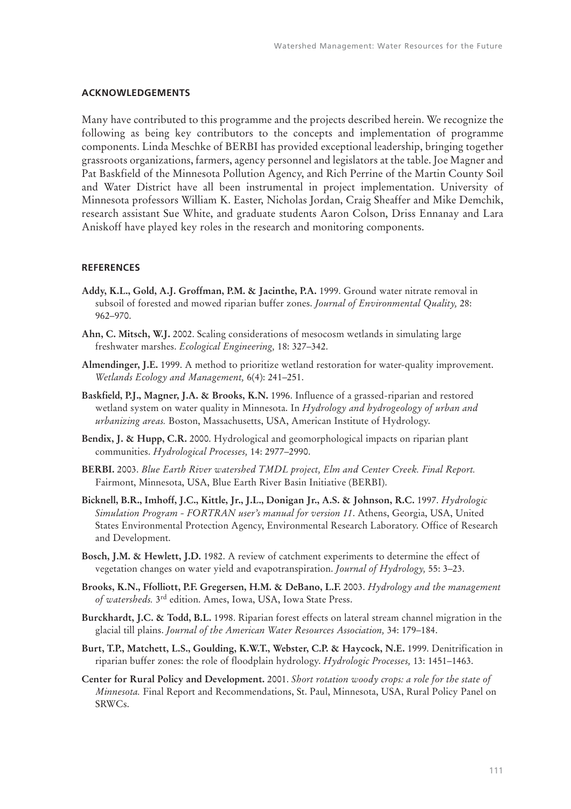#### **ACKNOWLEDGEMENTS**

Many have contributed to this programme and the projects described herein. We recognize the following as being key contributors to the concepts and implementation of programme components. Linda Meschke of BERBI has provided exceptional leadership, bringing together grassroots organizations, farmers, agency personnel and legislators at the table. Joe Magner and Pat Baskfield of the Minnesota Pollution Agency, and Rich Perrine of the Martin County Soil and Water District have all been instrumental in project implementation. University of Minnesota professors William K. Easter, Nicholas Jordan, Craig Sheaffer and Mike Demchik, research assistant Sue White, and graduate students Aaron Colson, Driss Ennanay and Lara Aniskoff have played key roles in the research and monitoring components.

#### **REFERENCES**

- **Addy, K.L., Gold, A.J. Groffman, P.M. & Jacinthe, P.A.** 1999. Ground water nitrate removal in subsoil of forested and mowed riparian buffer zones. *Journal of Environmental Quality,* 28: 962–970.
- **Ahn, C. Mitsch, W.J.** 2002. Scaling considerations of mesocosm wetlands in simulating large freshwater marshes. *Ecological Engineering,* 18: 327–342.
- **Almendinger, J.E.** 1999. A method to prioritize wetland restoration for water-quality improvement. *Wetlands Ecology and Management,* 6(4): 241–251.
- **Baskfield, P.J., Magner, J.A. & Brooks, K.N.** 1996. Influence of a grassed-riparian and restored wetland system on water quality in Minnesota. In *Hydrology and hydrogeology of urban and urbanizing areas.* Boston, Massachusetts, USA, American Institute of Hydrology.
- **Bendix, J. & Hupp, C.R.** 2000. Hydrological and geomorphological impacts on riparian plant communities. *Hydrological Processes,* 14: 2977–2990.
- **BERBI.** 2003. *Blue Earth River watershed TMDL project, Elm and Center Creek. Final Report.* Fairmont, Minnesota, USA, Blue Earth River Basin Initiative (BERBI).
- **Bicknell, B.R., Imhoff, J.C., Kittle, Jr., J.L., Donigan Jr., A.S. & Johnson, R.C.** 1997. *Hydrologic Simulation Program - FORTRAN user's manual for version 11*. Athens, Georgia, USA, United States Environmental Protection Agency, Environmental Research Laboratory. Office of Research and Development.
- **Bosch, J.M. & Hewlett, J.D.** 1982. A review of catchment experiments to determine the effect of vegetation changes on water yield and evapotranspiration. *Journal of Hydrology,* 55: 3–23.
- **Brooks, K.N., Ffolliott, P.F. Gregersen, H.M. & DeBano, L.F.** 2003. *Hydrology and the management of watersheds.* 3rd edition. Ames, Iowa, USA, Iowa State Press.
- **Burckhardt, J.C. & Todd, B.L.** 1998. Riparian forest effects on lateral stream channel migration in the glacial till plains. *Journal of the American Water Resources Association,* 34: 179–184.
- **Burt, T.P., Matchett, L.S., Goulding, K.W.T., Webster, C.P. & Haycock, N.E.** 1999. Denitrification in riparian buffer zones: the role of floodplain hydrology. *Hydrologic Processes,* 13: 1451–1463.
- **Center for Rural Policy and Development.** 2001. *Short rotation woody crops: a role for the state of Minnesota.* Final Report and Recommendations, St. Paul, Minnesota, USA, Rural Policy Panel on SRWCs.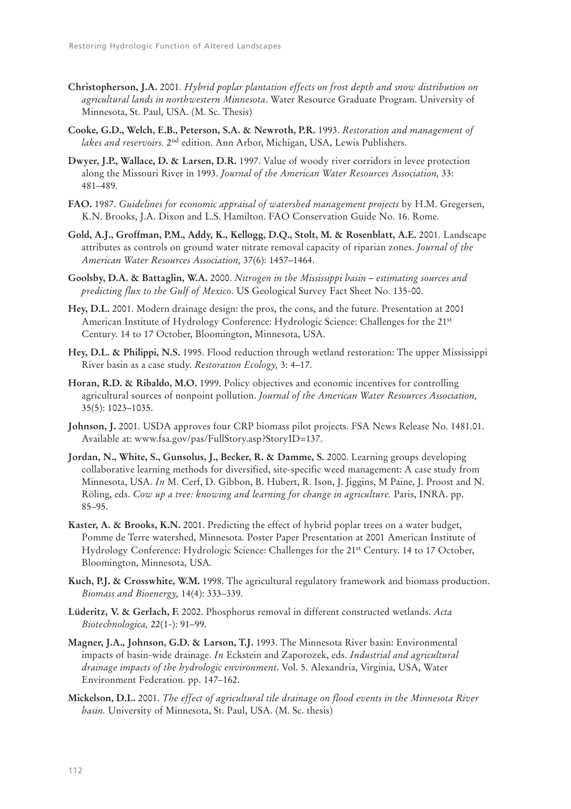- **Christopherson, J.A.** 2001. *Hybrid poplar plantation effects on frost depth and snow distribution on agricultural lands in northwestern Minnesota*. Water Resource Graduate Program. University of Minnesota, St. Paul, USA. (M. Sc. Thesis)
- **Cooke, G.D., Welch, E.B., Peterson, S.A. & Newroth, P.R.** 1993. *Restoration and management of lakes and reservoirs.* 2nd edition. Ann Arbor, Michigan, USA, Lewis Publishers.
- **Dwyer, J.P., Wallace, D. & Larsen, D.R.** 1997. Value of woody river corridors in levee protection along the Missouri River in 1993. *Journal of the American Water Resources Association,* 33: 481–489.
- **FAO.** 1987. *Guidelines for economic appraisal of watershed management projects* by H.M. Gregersen, K.N. Brooks, J.A. Dixon and L.S. Hamilton. FAO Conservation Guide No. 16. Rome.
- **Gold, A.J., Groffman, P.M., Addy, K., Kellogg, D.Q., Stolt, M. & Rosenblatt, A.E.** 2001. Landscape attributes as controls on ground water nitrate removal capacity of riparian zones. *Journal of the American Water Resources Association,* 37(6): 1457–1464.
- **Goolsby, D.A. & Battaglin, W.A.** 2000. *Nitrogen in the Mississippi basin estimating sources and predicting flux to the Gulf of Mexico*. US Geological Survey Fact Sheet No. 135-00.
- **Hey, D.L.** 2001. Modern drainage design: the pros, the cons, and the future. Presentation at 2001 American Institute of Hydrology Conference: Hydrologic Science: Challenges for the 21st Century. 14 to 17 October, Bloomington, Minnesota, USA.
- **Hey, D.L. & Philippi, N.S.** 1995. Flood reduction through wetland restoration: The upper Mississippi River basin as a case study. *Restoration Ecology,* 3: 4–17.
- **Horan, R.D. & Ribaldo, M.O.** 1999. Policy objectives and economic incentives for controlling agricultural sources of nonpoint pollution. *Journal of the American Water Resources Association,* 35(5): 1023–1035.
- **Johnson, J.** 2001. USDA approves four CRP biomass pilot projects. FSA News Release No. 1481.01. Available at: www.fsa.gov/pas/FullStory.asp?StoryID=137.
- **Jordan, N., White, S., Gunsolus, J., Becker, R. & Damme, S.** 2000. Learning groups developing collaborative learning methods for diversified, site-specific weed management: A case study from Minnesota, USA. *In* M. Cerf, D. Gibbon, B. Hubert, R. Ison, J. Jiggins, M Paine, J. Proost and N. Röling, eds. *Cow up a tree: knowing and learning for change in agriculture.* Paris, INRA. pp. 85–95.
- **Kaster, A. & Brooks, K.N.** 2001. Predicting the effect of hybrid poplar trees on a water budget, Pomme de Terre watershed, Minnesota. Poster Paper Presentation at 2001 American Institute of Hydrology Conference: Hydrologic Science: Challenges for the 21st Century. 14 to 17 October, Bloomington, Minnesota, USA.
- **Kuch, P.J. & Crosswhite, W.M.** 1998. The agricultural regulatory framework and biomass production. *Biomass and Bioenergy,* 14(4): 333–339.
- **Lüderitz, V. & Gerlach, F.** 2002. Phosphorus removal in different constructed wetlands. *Acta Biotechnologica,* 22(1-): 91–99.
- **Magner, J.A., Johnson, G.D. & Larson, T.J.** 1993. The Minnesota River basin: Environmental impacts of basin-wide drainage. *In* Eckstein and Zaporozek, eds. *Industrial and agricultural drainage impacts of the hydrologic environment*. Vol. 5. Alexandria, Virginia, USA, Water Environment Federation. pp. 147–162.
- **Mickelson, D.L.** 2001. *The effect of agricultural tile drainage on flood events in the Minnesota River basin.* University of Minnesota, St. Paul, USA. (M. Sc. thesis)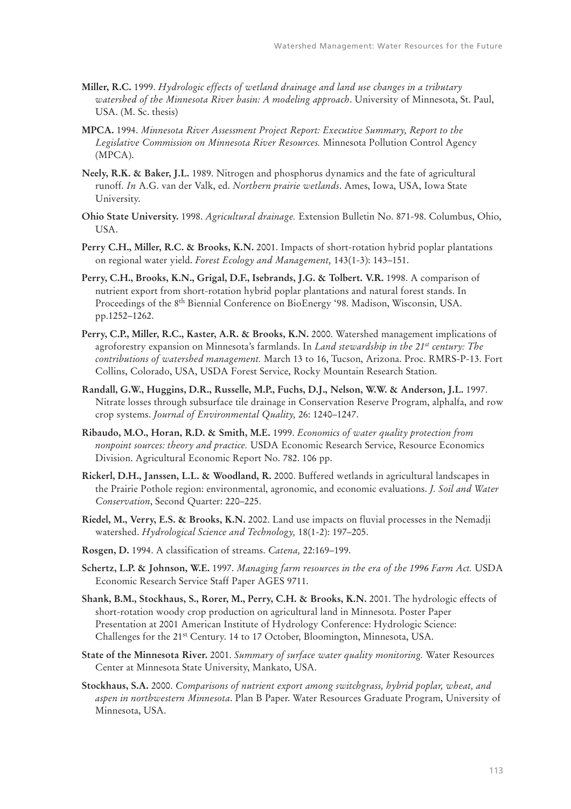- **Miller, R.C.** 1999. *Hydrologic effects of wetland drainage and land use changes in a tributary watershed of the Minnesota River basin: A modeling approach*. University of Minnesota, St. Paul, USA. (M. Sc. thesis)
- **MPCA.** 1994. *Minnesota River Assessment Project Report: Executive Summary, Report to the Legislative Commission on Minnesota River Resources.* Minnesota Pollution Control Agency (MPCA).
- **Neely, R.K. & Baker, J.L.** 1989. Nitrogen and phosphorus dynamics and the fate of agricultural runoff. *In* A.G. van der Valk, ed. *Northern prairie wetlands*. Ames, Iowa, USA, Iowa State University.
- **Ohio State University.** 1998. *Agricultural drainage.* Extension Bulletin No. 871-98. Columbus, Ohio, USA.
- **Perry C.H., Miller, R.C. & Brooks, K.N.** 2001. Impacts of short-rotation hybrid poplar plantations on regional water yield. *Forest Ecology and Management,* 143(1-3): 143–151.
- **Perry, C.H., Brooks, K.N., Grigal, D.F., Isebrands, J.G. & Tolbert. V.R.** 1998. A comparison of nutrient export from short-rotation hybrid poplar plantations and natural forest stands. In Proceedings of the 8th Biennial Conference on BioEnergy '98. Madison, Wisconsin, USA. pp.1252–1262.
- **Perry, C.P., Miller, R.C., Kaster, A.R. & Brooks, K.N.** 2000. Watershed management implications of agroforestry expansion on Minnesota's farmlands. In *Land stewardship in the 21st century: The contributions of watershed management.* March 13 to 16, Tucson, Arizona. Proc. RMRS-P-13. Fort Collins, Colorado, USA, USDA Forest Service, Rocky Mountain Research Station.
- **Randall, G.W., Huggins, D.R., Russelle, M.P., Fuchs, D.J., Nelson, W.W. & Anderson, J.L.** 1997. Nitrate losses through subsurface tile drainage in Conservation Reserve Program, alphalfa, and row crop systems. *Journal of Environmental Quality,* 26: 1240–1247.
- **Ribaudo, M.O., Horan, R.D. & Smith, M.E.** 1999. *Economics of water quality protection from nonpoint sources: theory and practice.* USDA Economic Research Service, Resource Economics Division. Agricultural Economic Report No. 782. 106 pp.
- **Rickerl, D.H., Janssen, L.L. & Woodland, R.** 2000. Buffered wetlands in agricultural landscapes in the Prairie Pothole region: environmental, agronomic, and economic evaluations. *J. Soil and Water Conservation*, Second Quarter: 220–225.
- **Riedel, M., Verry, E.S. & Brooks, K.N.** 2002. Land use impacts on fluvial processes in the Nemadji watershed. *Hydrological Science and Technology,* 18(1-2): 197–205.
- **Rosgen, D.** 1994. A classification of streams. *Catena,* 22:169–199.
- **Schertz, L.P. & Johnson, W.E.** 1997. *Managing farm resources in the era of the 1996 Farm Act.* USDA Economic Research Service Staff Paper AGES 9711.
- **Shank, B.M., Stockhaus, S., Rorer, M., Perry, C.H. & Brooks, K.N.** 2001. The hydrologic effects of short-rotation woody crop production on agricultural land in Minnesota. Poster Paper Presentation at 2001 American Institute of Hydrology Conference: Hydrologic Science: Challenges for the 21st Century. 14 to 17 October, Bloomington, Minnesota, USA.
- **State of the Minnesota River.** 2001. *Summary of surface water quality monitoring.* Water Resources Center at Minnesota State University, Mankato, USA.
- **Stockhaus, S.A.** 2000. *Comparisons of nutrient export among switchgrass, hybrid poplar, wheat, and aspen in northwestern Minnesota*. Plan B Paper. Water Resources Graduate Program, University of Minnesota, USA.